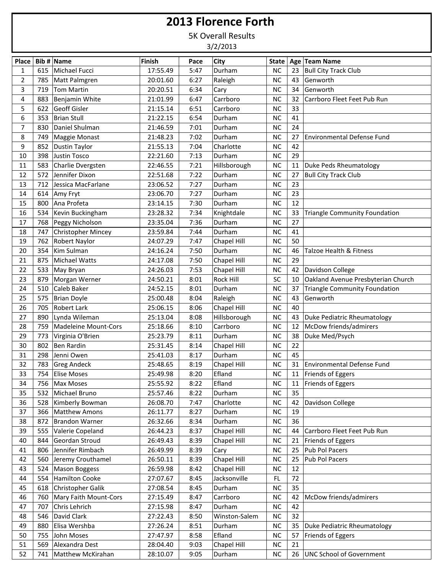## **2013 Florence Forth**

5K Overall Results

3/2/2013

| <b>NC</b><br>Bull City Track Club<br>615<br>Michael Fucci<br>17:55.49<br>5:47<br>Durham<br>1<br>23<br><b>NC</b><br>2<br>785<br>6:27<br>Raleigh<br>43<br>Genworth<br>Matt Palmgren<br>20:01.60<br>3<br><b>NC</b><br>Genworth<br>719<br><b>Tom Martin</b><br>20:20.51<br>6:34<br>34<br>Cary<br>NC<br>4<br>883<br>32<br>Carrboro Fleet Feet Pub Run<br>Benjamin White<br>21:01.99<br>6:47<br>Carrboro<br>5<br>622<br>Geoff Gisler<br>NC<br>33<br>21:15.14<br>6:51<br>Carrboro<br>NC<br>6<br><b>Brian Stull</b><br>6:54<br>41<br>353<br>21:22.15<br>Durham<br>24<br>$\overline{7}$<br><b>NC</b><br>830<br>Daniel Shulman<br>21:46.59<br>7:01<br>Durham<br><b>NC</b><br>27<br>8<br>21:48.23<br>7:02<br><b>Environmental Defense Fund</b><br>749<br>Maggie Monast<br>Durham<br>NC<br>852<br>9<br>21:55.13<br>7:04<br>Charlotte<br>42<br>Dustin Taylor<br>398<br><b>NC</b><br>29<br>10<br>Justin Tosco<br>22:21.60<br>7:13<br>Durham<br>583<br>NC<br>Duke Peds Rheumatology<br>11<br>Charlie Dvergsten<br>22:46.55<br>7:21<br>Hillsborough<br>11<br>Jennifer Dixon<br><b>NC</b><br>572<br>7:22<br>Durham<br>27<br><b>Bull City Track Club</b><br>12<br>22:51.68<br>NC<br>23<br>13<br>712<br>Jessica MacFarlane<br>23:06.52<br>7:27<br>Durham<br><b>NC</b><br>23<br>14<br>614<br>23:06.70<br>7:27<br>Durham<br>Amy Fryt<br>NC<br>15<br>Ana Profeta<br>7:30<br>Durham<br>12<br>800<br>23:14.15<br><b>NC</b><br>16<br>534<br>Kevin Buckingham<br>23:28.32<br>7:34<br>Knightdale<br>Triangle Community Foundation<br>33<br>7:36<br><b>NC</b><br>27<br>17<br>768<br>Peggy Nicholson<br>23:35.04<br>Durham<br><b>Christopher Mincey</b><br><b>NC</b><br>41<br>18<br>747<br>23:59.84<br>7:44<br>Durham<br>Robert Naylor<br><b>NC</b><br>50<br>19<br>762<br>24:07.29<br>7:47<br>Chapel Hill<br>NC<br>354<br>Kim Sulman<br>7:50<br>Durham<br>20<br>24:16.24<br>46<br>Talzoe Health & Fitness<br><b>Michael Watts</b><br>Chapel Hill<br><b>NC</b><br>29<br>21<br>875<br>24:17.08<br>7:50<br>22<br>533<br><b>NC</b><br>Davidson College<br>24:26.03<br>7:53<br>Chapel Hill<br>42<br>May Bryan<br>SC<br>Oakland Avenue Presbyterian Church<br>23<br>879<br>Morgan Werner<br>8:01<br>Rock Hill<br>24:50.21<br>10<br>NC<br><b>Triangle Community Foundation</b><br>24<br>510<br>Caleb Baker<br>24:52.15<br>8:01<br>Durham<br>37<br><b>NC</b><br>25<br>575<br><b>Brian Doyle</b><br>25:00.48<br>8:04<br>Raleigh<br>43<br>Genworth<br><b>Robert Lark</b><br>NC<br>26<br>705<br>Chapel Hill<br>40<br>25:06.15<br>8:06<br>27<br>890<br><b>NC</b><br>Lynda Wileman<br>25:13.04<br>8:08<br>Hillsborough<br>Duke Pediatric Rheumatology<br>43<br><b>NC</b><br>McDow friends/admirers<br>28<br>759<br>Madeleine Mount-Cors<br>25:18.66<br>8:10<br>Carrboro<br>12<br><b>NC</b><br>38<br>Duke Med/Psych<br>29<br>773<br>Virginia O'Brien<br>25:23.79<br>8:11<br>Durham<br><b>NC</b><br>22<br>802<br>Ben Rardin<br>Chapel Hill<br>30<br>25:31.45<br>8:14<br>Durham<br><b>NC</b><br>45<br>31<br>298<br>Jenni Owen<br>8:17<br>25:41.03<br>32<br><b>Greg Andeck</b><br>Chapel Hill<br>NC<br><b>Environmental Defense Fund</b><br>783<br>25:48.65<br>8:19<br>31<br>33<br><b>NC</b><br>754<br><b>Elise Moses</b><br>8:20<br>Efland<br>11   Friends of Eggers<br>25:49.98<br>Efland<br>34<br>Max Moses<br>25:55.92<br>8:22<br><b>NC</b><br>11   Friends of Eggers<br>756<br>35<br>Michael Bruno<br>25:57.46<br>Durham<br>$NC$<br>35<br>532<br>8:22<br>NC<br>Davidson College<br>36<br>528<br>Kimberly Bowman<br>26:08.70<br>7:47<br>Charlotte<br>42<br>37<br>26:11.77<br>Durham<br>NC<br>19<br>366<br><b>Matthew Amons</b><br>8:27<br>38<br><b>Brandon Warner</b><br>26:32.66<br>Durham<br>NC<br>36<br>872<br>8:34<br>Valerie Copeland<br>39<br>555<br>26:44.23<br>8:37<br>Chapel Hill<br><b>NC</b><br>44<br>Carrboro Fleet Feet Pub Run<br>Geordan Stroud<br>26:49.43<br>NC<br>40<br>844<br>8:39<br>Chapel Hill<br>21<br>Friends of Eggers<br>Jennifer Rimbach<br>NC<br>25<br>806<br>26:49.99<br>8:39<br>Pub Pol Pacers<br>41<br>Cary<br>Jeremy Crouthamel<br>Chapel Hill<br>NC<br>Pub Pol Pacers<br>42<br>560<br>26:50.11<br>8:39<br>25<br>524<br>26:59.98<br>Chapel Hill<br>NC<br>43<br>Mason Boggess<br>8:42<br>12<br><b>Hamilton Cooke</b><br>FL.<br>72<br>44<br>554<br>27:07.67<br>Jacksonville<br>8:45<br>35<br>Christopher Galik<br>NC<br>45<br>618<br>27:08.54<br>8:45<br>Durham<br>$NC$<br>McDow friends/admirers<br>46<br>760<br>Mary Faith Mount-Cors<br>27:15.49<br>8:47<br>Carrboro<br>42<br>Chris Lehrich<br>NC<br>47<br>707<br>27:15.98<br>8:47<br>Durham<br>42<br>David Clark<br>27:22.43<br>Winston-Salem<br>NC<br>32<br>48<br>546<br>8:50<br>Elisa Wershba<br>$NC$<br>35<br>Duke Pediatric Rheumatology<br>49<br>880<br>27:26.24<br>8:51<br>Durham<br>Efland<br>50<br>755<br>John Moses<br>27:47.97<br>8:58<br><b>NC</b><br>Friends of Eggers<br>57<br>51<br>Alexandra Dest<br>28:04.40<br>Chapel Hill<br>NC<br>21<br>569<br>9:03<br>26   UNC School of Government |    | Place   Bib #   Name |                   | <b>Finish</b> | Pace | City   | <b>State</b> | Age Team Name |
|-------------------------------------------------------------------------------------------------------------------------------------------------------------------------------------------------------------------------------------------------------------------------------------------------------------------------------------------------------------------------------------------------------------------------------------------------------------------------------------------------------------------------------------------------------------------------------------------------------------------------------------------------------------------------------------------------------------------------------------------------------------------------------------------------------------------------------------------------------------------------------------------------------------------------------------------------------------------------------------------------------------------------------------------------------------------------------------------------------------------------------------------------------------------------------------------------------------------------------------------------------------------------------------------------------------------------------------------------------------------------------------------------------------------------------------------------------------------------------------------------------------------------------------------------------------------------------------------------------------------------------------------------------------------------------------------------------------------------------------------------------------------------------------------------------------------------------------------------------------------------------------------------------------------------------------------------------------------------------------------------------------------------------------------------------------------------------------------------------------------------------------------------------------------------------------------------------------------------------------------------------------------------------------------------------------------------------------------------------------------------------------------------------------------------------------------------------------------------------------------------------------------------------------------------------------------------------------------------------------------------------------------------------------------------------------------------------------------------------------------------------------------------------------------------------------------------------------------------------------------------------------------------------------------------------------------------------------------------------------------------------------------------------------------------------------------------------------------------------------------------------------------------------------------------------------------------------------------------------------------------------------------------------------------------------------------------------------------------------------------------------------------------------------------------------------------------------------------------------------------------------------------------------------------------------------------------------------------------------------------------------------------------------------------------------------------------------------------------------------------------------------------------------------------------------------------------------------------------------------------------------------------------------------------------------------------------------------------------------------------------------------------------------------------------------------------------------------------------------------------------------------------------------------------------------------------------------------------------------------------------------------------------------------------------------------------------------------------------------------------------------------------------------------------------------------------------------------------------------------------------------------------------------------------------------------------------------------------------------------------------------------------------------------------------------------------------------------------------------------------------------------------------------------------------------------------------------------------------------------------------------------------------------------------------------------------------|----|----------------------|-------------------|---------------|------|--------|--------------|---------------|
|                                                                                                                                                                                                                                                                                                                                                                                                                                                                                                                                                                                                                                                                                                                                                                                                                                                                                                                                                                                                                                                                                                                                                                                                                                                                                                                                                                                                                                                                                                                                                                                                                                                                                                                                                                                                                                                                                                                                                                                                                                                                                                                                                                                                                                                                                                                                                                                                                                                                                                                                                                                                                                                                                                                                                                                                                                                                                                                                                                                                                                                                                                                                                                                                                                                                                                                                                                                                                                                                                                                                                                                                                                                                                                                                                                                                                                                                                                                                                                                                                                                                                                                                                                                                                                                                                                                                                                                                                                                                                                                                                                                                                                                                                                                                                                                                                                                                                                                                                 |    |                      |                   |               |      |        |              |               |
|                                                                                                                                                                                                                                                                                                                                                                                                                                                                                                                                                                                                                                                                                                                                                                                                                                                                                                                                                                                                                                                                                                                                                                                                                                                                                                                                                                                                                                                                                                                                                                                                                                                                                                                                                                                                                                                                                                                                                                                                                                                                                                                                                                                                                                                                                                                                                                                                                                                                                                                                                                                                                                                                                                                                                                                                                                                                                                                                                                                                                                                                                                                                                                                                                                                                                                                                                                                                                                                                                                                                                                                                                                                                                                                                                                                                                                                                                                                                                                                                                                                                                                                                                                                                                                                                                                                                                                                                                                                                                                                                                                                                                                                                                                                                                                                                                                                                                                                                                 |    |                      |                   |               |      |        |              |               |
|                                                                                                                                                                                                                                                                                                                                                                                                                                                                                                                                                                                                                                                                                                                                                                                                                                                                                                                                                                                                                                                                                                                                                                                                                                                                                                                                                                                                                                                                                                                                                                                                                                                                                                                                                                                                                                                                                                                                                                                                                                                                                                                                                                                                                                                                                                                                                                                                                                                                                                                                                                                                                                                                                                                                                                                                                                                                                                                                                                                                                                                                                                                                                                                                                                                                                                                                                                                                                                                                                                                                                                                                                                                                                                                                                                                                                                                                                                                                                                                                                                                                                                                                                                                                                                                                                                                                                                                                                                                                                                                                                                                                                                                                                                                                                                                                                                                                                                                                                 |    |                      |                   |               |      |        |              |               |
|                                                                                                                                                                                                                                                                                                                                                                                                                                                                                                                                                                                                                                                                                                                                                                                                                                                                                                                                                                                                                                                                                                                                                                                                                                                                                                                                                                                                                                                                                                                                                                                                                                                                                                                                                                                                                                                                                                                                                                                                                                                                                                                                                                                                                                                                                                                                                                                                                                                                                                                                                                                                                                                                                                                                                                                                                                                                                                                                                                                                                                                                                                                                                                                                                                                                                                                                                                                                                                                                                                                                                                                                                                                                                                                                                                                                                                                                                                                                                                                                                                                                                                                                                                                                                                                                                                                                                                                                                                                                                                                                                                                                                                                                                                                                                                                                                                                                                                                                                 |    |                      |                   |               |      |        |              |               |
|                                                                                                                                                                                                                                                                                                                                                                                                                                                                                                                                                                                                                                                                                                                                                                                                                                                                                                                                                                                                                                                                                                                                                                                                                                                                                                                                                                                                                                                                                                                                                                                                                                                                                                                                                                                                                                                                                                                                                                                                                                                                                                                                                                                                                                                                                                                                                                                                                                                                                                                                                                                                                                                                                                                                                                                                                                                                                                                                                                                                                                                                                                                                                                                                                                                                                                                                                                                                                                                                                                                                                                                                                                                                                                                                                                                                                                                                                                                                                                                                                                                                                                                                                                                                                                                                                                                                                                                                                                                                                                                                                                                                                                                                                                                                                                                                                                                                                                                                                 |    |                      |                   |               |      |        |              |               |
|                                                                                                                                                                                                                                                                                                                                                                                                                                                                                                                                                                                                                                                                                                                                                                                                                                                                                                                                                                                                                                                                                                                                                                                                                                                                                                                                                                                                                                                                                                                                                                                                                                                                                                                                                                                                                                                                                                                                                                                                                                                                                                                                                                                                                                                                                                                                                                                                                                                                                                                                                                                                                                                                                                                                                                                                                                                                                                                                                                                                                                                                                                                                                                                                                                                                                                                                                                                                                                                                                                                                                                                                                                                                                                                                                                                                                                                                                                                                                                                                                                                                                                                                                                                                                                                                                                                                                                                                                                                                                                                                                                                                                                                                                                                                                                                                                                                                                                                                                 |    |                      |                   |               |      |        |              |               |
|                                                                                                                                                                                                                                                                                                                                                                                                                                                                                                                                                                                                                                                                                                                                                                                                                                                                                                                                                                                                                                                                                                                                                                                                                                                                                                                                                                                                                                                                                                                                                                                                                                                                                                                                                                                                                                                                                                                                                                                                                                                                                                                                                                                                                                                                                                                                                                                                                                                                                                                                                                                                                                                                                                                                                                                                                                                                                                                                                                                                                                                                                                                                                                                                                                                                                                                                                                                                                                                                                                                                                                                                                                                                                                                                                                                                                                                                                                                                                                                                                                                                                                                                                                                                                                                                                                                                                                                                                                                                                                                                                                                                                                                                                                                                                                                                                                                                                                                                                 |    |                      |                   |               |      |        |              |               |
|                                                                                                                                                                                                                                                                                                                                                                                                                                                                                                                                                                                                                                                                                                                                                                                                                                                                                                                                                                                                                                                                                                                                                                                                                                                                                                                                                                                                                                                                                                                                                                                                                                                                                                                                                                                                                                                                                                                                                                                                                                                                                                                                                                                                                                                                                                                                                                                                                                                                                                                                                                                                                                                                                                                                                                                                                                                                                                                                                                                                                                                                                                                                                                                                                                                                                                                                                                                                                                                                                                                                                                                                                                                                                                                                                                                                                                                                                                                                                                                                                                                                                                                                                                                                                                                                                                                                                                                                                                                                                                                                                                                                                                                                                                                                                                                                                                                                                                                                                 |    |                      |                   |               |      |        |              |               |
|                                                                                                                                                                                                                                                                                                                                                                                                                                                                                                                                                                                                                                                                                                                                                                                                                                                                                                                                                                                                                                                                                                                                                                                                                                                                                                                                                                                                                                                                                                                                                                                                                                                                                                                                                                                                                                                                                                                                                                                                                                                                                                                                                                                                                                                                                                                                                                                                                                                                                                                                                                                                                                                                                                                                                                                                                                                                                                                                                                                                                                                                                                                                                                                                                                                                                                                                                                                                                                                                                                                                                                                                                                                                                                                                                                                                                                                                                                                                                                                                                                                                                                                                                                                                                                                                                                                                                                                                                                                                                                                                                                                                                                                                                                                                                                                                                                                                                                                                                 |    |                      |                   |               |      |        |              |               |
|                                                                                                                                                                                                                                                                                                                                                                                                                                                                                                                                                                                                                                                                                                                                                                                                                                                                                                                                                                                                                                                                                                                                                                                                                                                                                                                                                                                                                                                                                                                                                                                                                                                                                                                                                                                                                                                                                                                                                                                                                                                                                                                                                                                                                                                                                                                                                                                                                                                                                                                                                                                                                                                                                                                                                                                                                                                                                                                                                                                                                                                                                                                                                                                                                                                                                                                                                                                                                                                                                                                                                                                                                                                                                                                                                                                                                                                                                                                                                                                                                                                                                                                                                                                                                                                                                                                                                                                                                                                                                                                                                                                                                                                                                                                                                                                                                                                                                                                                                 |    |                      |                   |               |      |        |              |               |
|                                                                                                                                                                                                                                                                                                                                                                                                                                                                                                                                                                                                                                                                                                                                                                                                                                                                                                                                                                                                                                                                                                                                                                                                                                                                                                                                                                                                                                                                                                                                                                                                                                                                                                                                                                                                                                                                                                                                                                                                                                                                                                                                                                                                                                                                                                                                                                                                                                                                                                                                                                                                                                                                                                                                                                                                                                                                                                                                                                                                                                                                                                                                                                                                                                                                                                                                                                                                                                                                                                                                                                                                                                                                                                                                                                                                                                                                                                                                                                                                                                                                                                                                                                                                                                                                                                                                                                                                                                                                                                                                                                                                                                                                                                                                                                                                                                                                                                                                                 |    |                      |                   |               |      |        |              |               |
|                                                                                                                                                                                                                                                                                                                                                                                                                                                                                                                                                                                                                                                                                                                                                                                                                                                                                                                                                                                                                                                                                                                                                                                                                                                                                                                                                                                                                                                                                                                                                                                                                                                                                                                                                                                                                                                                                                                                                                                                                                                                                                                                                                                                                                                                                                                                                                                                                                                                                                                                                                                                                                                                                                                                                                                                                                                                                                                                                                                                                                                                                                                                                                                                                                                                                                                                                                                                                                                                                                                                                                                                                                                                                                                                                                                                                                                                                                                                                                                                                                                                                                                                                                                                                                                                                                                                                                                                                                                                                                                                                                                                                                                                                                                                                                                                                                                                                                                                                 |    |                      |                   |               |      |        |              |               |
|                                                                                                                                                                                                                                                                                                                                                                                                                                                                                                                                                                                                                                                                                                                                                                                                                                                                                                                                                                                                                                                                                                                                                                                                                                                                                                                                                                                                                                                                                                                                                                                                                                                                                                                                                                                                                                                                                                                                                                                                                                                                                                                                                                                                                                                                                                                                                                                                                                                                                                                                                                                                                                                                                                                                                                                                                                                                                                                                                                                                                                                                                                                                                                                                                                                                                                                                                                                                                                                                                                                                                                                                                                                                                                                                                                                                                                                                                                                                                                                                                                                                                                                                                                                                                                                                                                                                                                                                                                                                                                                                                                                                                                                                                                                                                                                                                                                                                                                                                 |    |                      |                   |               |      |        |              |               |
|                                                                                                                                                                                                                                                                                                                                                                                                                                                                                                                                                                                                                                                                                                                                                                                                                                                                                                                                                                                                                                                                                                                                                                                                                                                                                                                                                                                                                                                                                                                                                                                                                                                                                                                                                                                                                                                                                                                                                                                                                                                                                                                                                                                                                                                                                                                                                                                                                                                                                                                                                                                                                                                                                                                                                                                                                                                                                                                                                                                                                                                                                                                                                                                                                                                                                                                                                                                                                                                                                                                                                                                                                                                                                                                                                                                                                                                                                                                                                                                                                                                                                                                                                                                                                                                                                                                                                                                                                                                                                                                                                                                                                                                                                                                                                                                                                                                                                                                                                 |    |                      |                   |               |      |        |              |               |
|                                                                                                                                                                                                                                                                                                                                                                                                                                                                                                                                                                                                                                                                                                                                                                                                                                                                                                                                                                                                                                                                                                                                                                                                                                                                                                                                                                                                                                                                                                                                                                                                                                                                                                                                                                                                                                                                                                                                                                                                                                                                                                                                                                                                                                                                                                                                                                                                                                                                                                                                                                                                                                                                                                                                                                                                                                                                                                                                                                                                                                                                                                                                                                                                                                                                                                                                                                                                                                                                                                                                                                                                                                                                                                                                                                                                                                                                                                                                                                                                                                                                                                                                                                                                                                                                                                                                                                                                                                                                                                                                                                                                                                                                                                                                                                                                                                                                                                                                                 |    |                      |                   |               |      |        |              |               |
|                                                                                                                                                                                                                                                                                                                                                                                                                                                                                                                                                                                                                                                                                                                                                                                                                                                                                                                                                                                                                                                                                                                                                                                                                                                                                                                                                                                                                                                                                                                                                                                                                                                                                                                                                                                                                                                                                                                                                                                                                                                                                                                                                                                                                                                                                                                                                                                                                                                                                                                                                                                                                                                                                                                                                                                                                                                                                                                                                                                                                                                                                                                                                                                                                                                                                                                                                                                                                                                                                                                                                                                                                                                                                                                                                                                                                                                                                                                                                                                                                                                                                                                                                                                                                                                                                                                                                                                                                                                                                                                                                                                                                                                                                                                                                                                                                                                                                                                                                 |    |                      |                   |               |      |        |              |               |
|                                                                                                                                                                                                                                                                                                                                                                                                                                                                                                                                                                                                                                                                                                                                                                                                                                                                                                                                                                                                                                                                                                                                                                                                                                                                                                                                                                                                                                                                                                                                                                                                                                                                                                                                                                                                                                                                                                                                                                                                                                                                                                                                                                                                                                                                                                                                                                                                                                                                                                                                                                                                                                                                                                                                                                                                                                                                                                                                                                                                                                                                                                                                                                                                                                                                                                                                                                                                                                                                                                                                                                                                                                                                                                                                                                                                                                                                                                                                                                                                                                                                                                                                                                                                                                                                                                                                                                                                                                                                                                                                                                                                                                                                                                                                                                                                                                                                                                                                                 |    |                      |                   |               |      |        |              |               |
|                                                                                                                                                                                                                                                                                                                                                                                                                                                                                                                                                                                                                                                                                                                                                                                                                                                                                                                                                                                                                                                                                                                                                                                                                                                                                                                                                                                                                                                                                                                                                                                                                                                                                                                                                                                                                                                                                                                                                                                                                                                                                                                                                                                                                                                                                                                                                                                                                                                                                                                                                                                                                                                                                                                                                                                                                                                                                                                                                                                                                                                                                                                                                                                                                                                                                                                                                                                                                                                                                                                                                                                                                                                                                                                                                                                                                                                                                                                                                                                                                                                                                                                                                                                                                                                                                                                                                                                                                                                                                                                                                                                                                                                                                                                                                                                                                                                                                                                                                 |    |                      |                   |               |      |        |              |               |
|                                                                                                                                                                                                                                                                                                                                                                                                                                                                                                                                                                                                                                                                                                                                                                                                                                                                                                                                                                                                                                                                                                                                                                                                                                                                                                                                                                                                                                                                                                                                                                                                                                                                                                                                                                                                                                                                                                                                                                                                                                                                                                                                                                                                                                                                                                                                                                                                                                                                                                                                                                                                                                                                                                                                                                                                                                                                                                                                                                                                                                                                                                                                                                                                                                                                                                                                                                                                                                                                                                                                                                                                                                                                                                                                                                                                                                                                                                                                                                                                                                                                                                                                                                                                                                                                                                                                                                                                                                                                                                                                                                                                                                                                                                                                                                                                                                                                                                                                                 |    |                      |                   |               |      |        |              |               |
|                                                                                                                                                                                                                                                                                                                                                                                                                                                                                                                                                                                                                                                                                                                                                                                                                                                                                                                                                                                                                                                                                                                                                                                                                                                                                                                                                                                                                                                                                                                                                                                                                                                                                                                                                                                                                                                                                                                                                                                                                                                                                                                                                                                                                                                                                                                                                                                                                                                                                                                                                                                                                                                                                                                                                                                                                                                                                                                                                                                                                                                                                                                                                                                                                                                                                                                                                                                                                                                                                                                                                                                                                                                                                                                                                                                                                                                                                                                                                                                                                                                                                                                                                                                                                                                                                                                                                                                                                                                                                                                                                                                                                                                                                                                                                                                                                                                                                                                                                 |    |                      |                   |               |      |        |              |               |
|                                                                                                                                                                                                                                                                                                                                                                                                                                                                                                                                                                                                                                                                                                                                                                                                                                                                                                                                                                                                                                                                                                                                                                                                                                                                                                                                                                                                                                                                                                                                                                                                                                                                                                                                                                                                                                                                                                                                                                                                                                                                                                                                                                                                                                                                                                                                                                                                                                                                                                                                                                                                                                                                                                                                                                                                                                                                                                                                                                                                                                                                                                                                                                                                                                                                                                                                                                                                                                                                                                                                                                                                                                                                                                                                                                                                                                                                                                                                                                                                                                                                                                                                                                                                                                                                                                                                                                                                                                                                                                                                                                                                                                                                                                                                                                                                                                                                                                                                                 |    |                      |                   |               |      |        |              |               |
|                                                                                                                                                                                                                                                                                                                                                                                                                                                                                                                                                                                                                                                                                                                                                                                                                                                                                                                                                                                                                                                                                                                                                                                                                                                                                                                                                                                                                                                                                                                                                                                                                                                                                                                                                                                                                                                                                                                                                                                                                                                                                                                                                                                                                                                                                                                                                                                                                                                                                                                                                                                                                                                                                                                                                                                                                                                                                                                                                                                                                                                                                                                                                                                                                                                                                                                                                                                                                                                                                                                                                                                                                                                                                                                                                                                                                                                                                                                                                                                                                                                                                                                                                                                                                                                                                                                                                                                                                                                                                                                                                                                                                                                                                                                                                                                                                                                                                                                                                 |    |                      |                   |               |      |        |              |               |
|                                                                                                                                                                                                                                                                                                                                                                                                                                                                                                                                                                                                                                                                                                                                                                                                                                                                                                                                                                                                                                                                                                                                                                                                                                                                                                                                                                                                                                                                                                                                                                                                                                                                                                                                                                                                                                                                                                                                                                                                                                                                                                                                                                                                                                                                                                                                                                                                                                                                                                                                                                                                                                                                                                                                                                                                                                                                                                                                                                                                                                                                                                                                                                                                                                                                                                                                                                                                                                                                                                                                                                                                                                                                                                                                                                                                                                                                                                                                                                                                                                                                                                                                                                                                                                                                                                                                                                                                                                                                                                                                                                                                                                                                                                                                                                                                                                                                                                                                                 |    |                      |                   |               |      |        |              |               |
|                                                                                                                                                                                                                                                                                                                                                                                                                                                                                                                                                                                                                                                                                                                                                                                                                                                                                                                                                                                                                                                                                                                                                                                                                                                                                                                                                                                                                                                                                                                                                                                                                                                                                                                                                                                                                                                                                                                                                                                                                                                                                                                                                                                                                                                                                                                                                                                                                                                                                                                                                                                                                                                                                                                                                                                                                                                                                                                                                                                                                                                                                                                                                                                                                                                                                                                                                                                                                                                                                                                                                                                                                                                                                                                                                                                                                                                                                                                                                                                                                                                                                                                                                                                                                                                                                                                                                                                                                                                                                                                                                                                                                                                                                                                                                                                                                                                                                                                                                 |    |                      |                   |               |      |        |              |               |
|                                                                                                                                                                                                                                                                                                                                                                                                                                                                                                                                                                                                                                                                                                                                                                                                                                                                                                                                                                                                                                                                                                                                                                                                                                                                                                                                                                                                                                                                                                                                                                                                                                                                                                                                                                                                                                                                                                                                                                                                                                                                                                                                                                                                                                                                                                                                                                                                                                                                                                                                                                                                                                                                                                                                                                                                                                                                                                                                                                                                                                                                                                                                                                                                                                                                                                                                                                                                                                                                                                                                                                                                                                                                                                                                                                                                                                                                                                                                                                                                                                                                                                                                                                                                                                                                                                                                                                                                                                                                                                                                                                                                                                                                                                                                                                                                                                                                                                                                                 |    |                      |                   |               |      |        |              |               |
|                                                                                                                                                                                                                                                                                                                                                                                                                                                                                                                                                                                                                                                                                                                                                                                                                                                                                                                                                                                                                                                                                                                                                                                                                                                                                                                                                                                                                                                                                                                                                                                                                                                                                                                                                                                                                                                                                                                                                                                                                                                                                                                                                                                                                                                                                                                                                                                                                                                                                                                                                                                                                                                                                                                                                                                                                                                                                                                                                                                                                                                                                                                                                                                                                                                                                                                                                                                                                                                                                                                                                                                                                                                                                                                                                                                                                                                                                                                                                                                                                                                                                                                                                                                                                                                                                                                                                                                                                                                                                                                                                                                                                                                                                                                                                                                                                                                                                                                                                 |    |                      |                   |               |      |        |              |               |
|                                                                                                                                                                                                                                                                                                                                                                                                                                                                                                                                                                                                                                                                                                                                                                                                                                                                                                                                                                                                                                                                                                                                                                                                                                                                                                                                                                                                                                                                                                                                                                                                                                                                                                                                                                                                                                                                                                                                                                                                                                                                                                                                                                                                                                                                                                                                                                                                                                                                                                                                                                                                                                                                                                                                                                                                                                                                                                                                                                                                                                                                                                                                                                                                                                                                                                                                                                                                                                                                                                                                                                                                                                                                                                                                                                                                                                                                                                                                                                                                                                                                                                                                                                                                                                                                                                                                                                                                                                                                                                                                                                                                                                                                                                                                                                                                                                                                                                                                                 |    |                      |                   |               |      |        |              |               |
|                                                                                                                                                                                                                                                                                                                                                                                                                                                                                                                                                                                                                                                                                                                                                                                                                                                                                                                                                                                                                                                                                                                                                                                                                                                                                                                                                                                                                                                                                                                                                                                                                                                                                                                                                                                                                                                                                                                                                                                                                                                                                                                                                                                                                                                                                                                                                                                                                                                                                                                                                                                                                                                                                                                                                                                                                                                                                                                                                                                                                                                                                                                                                                                                                                                                                                                                                                                                                                                                                                                                                                                                                                                                                                                                                                                                                                                                                                                                                                                                                                                                                                                                                                                                                                                                                                                                                                                                                                                                                                                                                                                                                                                                                                                                                                                                                                                                                                                                                 |    |                      |                   |               |      |        |              |               |
|                                                                                                                                                                                                                                                                                                                                                                                                                                                                                                                                                                                                                                                                                                                                                                                                                                                                                                                                                                                                                                                                                                                                                                                                                                                                                                                                                                                                                                                                                                                                                                                                                                                                                                                                                                                                                                                                                                                                                                                                                                                                                                                                                                                                                                                                                                                                                                                                                                                                                                                                                                                                                                                                                                                                                                                                                                                                                                                                                                                                                                                                                                                                                                                                                                                                                                                                                                                                                                                                                                                                                                                                                                                                                                                                                                                                                                                                                                                                                                                                                                                                                                                                                                                                                                                                                                                                                                                                                                                                                                                                                                                                                                                                                                                                                                                                                                                                                                                                                 |    |                      |                   |               |      |        |              |               |
|                                                                                                                                                                                                                                                                                                                                                                                                                                                                                                                                                                                                                                                                                                                                                                                                                                                                                                                                                                                                                                                                                                                                                                                                                                                                                                                                                                                                                                                                                                                                                                                                                                                                                                                                                                                                                                                                                                                                                                                                                                                                                                                                                                                                                                                                                                                                                                                                                                                                                                                                                                                                                                                                                                                                                                                                                                                                                                                                                                                                                                                                                                                                                                                                                                                                                                                                                                                                                                                                                                                                                                                                                                                                                                                                                                                                                                                                                                                                                                                                                                                                                                                                                                                                                                                                                                                                                                                                                                                                                                                                                                                                                                                                                                                                                                                                                                                                                                                                                 |    |                      |                   |               |      |        |              |               |
|                                                                                                                                                                                                                                                                                                                                                                                                                                                                                                                                                                                                                                                                                                                                                                                                                                                                                                                                                                                                                                                                                                                                                                                                                                                                                                                                                                                                                                                                                                                                                                                                                                                                                                                                                                                                                                                                                                                                                                                                                                                                                                                                                                                                                                                                                                                                                                                                                                                                                                                                                                                                                                                                                                                                                                                                                                                                                                                                                                                                                                                                                                                                                                                                                                                                                                                                                                                                                                                                                                                                                                                                                                                                                                                                                                                                                                                                                                                                                                                                                                                                                                                                                                                                                                                                                                                                                                                                                                                                                                                                                                                                                                                                                                                                                                                                                                                                                                                                                 |    |                      |                   |               |      |        |              |               |
|                                                                                                                                                                                                                                                                                                                                                                                                                                                                                                                                                                                                                                                                                                                                                                                                                                                                                                                                                                                                                                                                                                                                                                                                                                                                                                                                                                                                                                                                                                                                                                                                                                                                                                                                                                                                                                                                                                                                                                                                                                                                                                                                                                                                                                                                                                                                                                                                                                                                                                                                                                                                                                                                                                                                                                                                                                                                                                                                                                                                                                                                                                                                                                                                                                                                                                                                                                                                                                                                                                                                                                                                                                                                                                                                                                                                                                                                                                                                                                                                                                                                                                                                                                                                                                                                                                                                                                                                                                                                                                                                                                                                                                                                                                                                                                                                                                                                                                                                                 |    |                      |                   |               |      |        |              |               |
|                                                                                                                                                                                                                                                                                                                                                                                                                                                                                                                                                                                                                                                                                                                                                                                                                                                                                                                                                                                                                                                                                                                                                                                                                                                                                                                                                                                                                                                                                                                                                                                                                                                                                                                                                                                                                                                                                                                                                                                                                                                                                                                                                                                                                                                                                                                                                                                                                                                                                                                                                                                                                                                                                                                                                                                                                                                                                                                                                                                                                                                                                                                                                                                                                                                                                                                                                                                                                                                                                                                                                                                                                                                                                                                                                                                                                                                                                                                                                                                                                                                                                                                                                                                                                                                                                                                                                                                                                                                                                                                                                                                                                                                                                                                                                                                                                                                                                                                                                 |    |                      |                   |               |      |        |              |               |
|                                                                                                                                                                                                                                                                                                                                                                                                                                                                                                                                                                                                                                                                                                                                                                                                                                                                                                                                                                                                                                                                                                                                                                                                                                                                                                                                                                                                                                                                                                                                                                                                                                                                                                                                                                                                                                                                                                                                                                                                                                                                                                                                                                                                                                                                                                                                                                                                                                                                                                                                                                                                                                                                                                                                                                                                                                                                                                                                                                                                                                                                                                                                                                                                                                                                                                                                                                                                                                                                                                                                                                                                                                                                                                                                                                                                                                                                                                                                                                                                                                                                                                                                                                                                                                                                                                                                                                                                                                                                                                                                                                                                                                                                                                                                                                                                                                                                                                                                                 |    |                      |                   |               |      |        |              |               |
|                                                                                                                                                                                                                                                                                                                                                                                                                                                                                                                                                                                                                                                                                                                                                                                                                                                                                                                                                                                                                                                                                                                                                                                                                                                                                                                                                                                                                                                                                                                                                                                                                                                                                                                                                                                                                                                                                                                                                                                                                                                                                                                                                                                                                                                                                                                                                                                                                                                                                                                                                                                                                                                                                                                                                                                                                                                                                                                                                                                                                                                                                                                                                                                                                                                                                                                                                                                                                                                                                                                                                                                                                                                                                                                                                                                                                                                                                                                                                                                                                                                                                                                                                                                                                                                                                                                                                                                                                                                                                                                                                                                                                                                                                                                                                                                                                                                                                                                                                 |    |                      |                   |               |      |        |              |               |
|                                                                                                                                                                                                                                                                                                                                                                                                                                                                                                                                                                                                                                                                                                                                                                                                                                                                                                                                                                                                                                                                                                                                                                                                                                                                                                                                                                                                                                                                                                                                                                                                                                                                                                                                                                                                                                                                                                                                                                                                                                                                                                                                                                                                                                                                                                                                                                                                                                                                                                                                                                                                                                                                                                                                                                                                                                                                                                                                                                                                                                                                                                                                                                                                                                                                                                                                                                                                                                                                                                                                                                                                                                                                                                                                                                                                                                                                                                                                                                                                                                                                                                                                                                                                                                                                                                                                                                                                                                                                                                                                                                                                                                                                                                                                                                                                                                                                                                                                                 |    |                      |                   |               |      |        |              |               |
|                                                                                                                                                                                                                                                                                                                                                                                                                                                                                                                                                                                                                                                                                                                                                                                                                                                                                                                                                                                                                                                                                                                                                                                                                                                                                                                                                                                                                                                                                                                                                                                                                                                                                                                                                                                                                                                                                                                                                                                                                                                                                                                                                                                                                                                                                                                                                                                                                                                                                                                                                                                                                                                                                                                                                                                                                                                                                                                                                                                                                                                                                                                                                                                                                                                                                                                                                                                                                                                                                                                                                                                                                                                                                                                                                                                                                                                                                                                                                                                                                                                                                                                                                                                                                                                                                                                                                                                                                                                                                                                                                                                                                                                                                                                                                                                                                                                                                                                                                 |    |                      |                   |               |      |        |              |               |
|                                                                                                                                                                                                                                                                                                                                                                                                                                                                                                                                                                                                                                                                                                                                                                                                                                                                                                                                                                                                                                                                                                                                                                                                                                                                                                                                                                                                                                                                                                                                                                                                                                                                                                                                                                                                                                                                                                                                                                                                                                                                                                                                                                                                                                                                                                                                                                                                                                                                                                                                                                                                                                                                                                                                                                                                                                                                                                                                                                                                                                                                                                                                                                                                                                                                                                                                                                                                                                                                                                                                                                                                                                                                                                                                                                                                                                                                                                                                                                                                                                                                                                                                                                                                                                                                                                                                                                                                                                                                                                                                                                                                                                                                                                                                                                                                                                                                                                                                                 |    |                      |                   |               |      |        |              |               |
|                                                                                                                                                                                                                                                                                                                                                                                                                                                                                                                                                                                                                                                                                                                                                                                                                                                                                                                                                                                                                                                                                                                                                                                                                                                                                                                                                                                                                                                                                                                                                                                                                                                                                                                                                                                                                                                                                                                                                                                                                                                                                                                                                                                                                                                                                                                                                                                                                                                                                                                                                                                                                                                                                                                                                                                                                                                                                                                                                                                                                                                                                                                                                                                                                                                                                                                                                                                                                                                                                                                                                                                                                                                                                                                                                                                                                                                                                                                                                                                                                                                                                                                                                                                                                                                                                                                                                                                                                                                                                                                                                                                                                                                                                                                                                                                                                                                                                                                                                 |    |                      |                   |               |      |        |              |               |
|                                                                                                                                                                                                                                                                                                                                                                                                                                                                                                                                                                                                                                                                                                                                                                                                                                                                                                                                                                                                                                                                                                                                                                                                                                                                                                                                                                                                                                                                                                                                                                                                                                                                                                                                                                                                                                                                                                                                                                                                                                                                                                                                                                                                                                                                                                                                                                                                                                                                                                                                                                                                                                                                                                                                                                                                                                                                                                                                                                                                                                                                                                                                                                                                                                                                                                                                                                                                                                                                                                                                                                                                                                                                                                                                                                                                                                                                                                                                                                                                                                                                                                                                                                                                                                                                                                                                                                                                                                                                                                                                                                                                                                                                                                                                                                                                                                                                                                                                                 |    |                      |                   |               |      |        |              |               |
|                                                                                                                                                                                                                                                                                                                                                                                                                                                                                                                                                                                                                                                                                                                                                                                                                                                                                                                                                                                                                                                                                                                                                                                                                                                                                                                                                                                                                                                                                                                                                                                                                                                                                                                                                                                                                                                                                                                                                                                                                                                                                                                                                                                                                                                                                                                                                                                                                                                                                                                                                                                                                                                                                                                                                                                                                                                                                                                                                                                                                                                                                                                                                                                                                                                                                                                                                                                                                                                                                                                                                                                                                                                                                                                                                                                                                                                                                                                                                                                                                                                                                                                                                                                                                                                                                                                                                                                                                                                                                                                                                                                                                                                                                                                                                                                                                                                                                                                                                 |    |                      |                   |               |      |        |              |               |
|                                                                                                                                                                                                                                                                                                                                                                                                                                                                                                                                                                                                                                                                                                                                                                                                                                                                                                                                                                                                                                                                                                                                                                                                                                                                                                                                                                                                                                                                                                                                                                                                                                                                                                                                                                                                                                                                                                                                                                                                                                                                                                                                                                                                                                                                                                                                                                                                                                                                                                                                                                                                                                                                                                                                                                                                                                                                                                                                                                                                                                                                                                                                                                                                                                                                                                                                                                                                                                                                                                                                                                                                                                                                                                                                                                                                                                                                                                                                                                                                                                                                                                                                                                                                                                                                                                                                                                                                                                                                                                                                                                                                                                                                                                                                                                                                                                                                                                                                                 |    |                      |                   |               |      |        |              |               |
|                                                                                                                                                                                                                                                                                                                                                                                                                                                                                                                                                                                                                                                                                                                                                                                                                                                                                                                                                                                                                                                                                                                                                                                                                                                                                                                                                                                                                                                                                                                                                                                                                                                                                                                                                                                                                                                                                                                                                                                                                                                                                                                                                                                                                                                                                                                                                                                                                                                                                                                                                                                                                                                                                                                                                                                                                                                                                                                                                                                                                                                                                                                                                                                                                                                                                                                                                                                                                                                                                                                                                                                                                                                                                                                                                                                                                                                                                                                                                                                                                                                                                                                                                                                                                                                                                                                                                                                                                                                                                                                                                                                                                                                                                                                                                                                                                                                                                                                                                 |    |                      |                   |               |      |        |              |               |
|                                                                                                                                                                                                                                                                                                                                                                                                                                                                                                                                                                                                                                                                                                                                                                                                                                                                                                                                                                                                                                                                                                                                                                                                                                                                                                                                                                                                                                                                                                                                                                                                                                                                                                                                                                                                                                                                                                                                                                                                                                                                                                                                                                                                                                                                                                                                                                                                                                                                                                                                                                                                                                                                                                                                                                                                                                                                                                                                                                                                                                                                                                                                                                                                                                                                                                                                                                                                                                                                                                                                                                                                                                                                                                                                                                                                                                                                                                                                                                                                                                                                                                                                                                                                                                                                                                                                                                                                                                                                                                                                                                                                                                                                                                                                                                                                                                                                                                                                                 |    |                      |                   |               |      |        |              |               |
|                                                                                                                                                                                                                                                                                                                                                                                                                                                                                                                                                                                                                                                                                                                                                                                                                                                                                                                                                                                                                                                                                                                                                                                                                                                                                                                                                                                                                                                                                                                                                                                                                                                                                                                                                                                                                                                                                                                                                                                                                                                                                                                                                                                                                                                                                                                                                                                                                                                                                                                                                                                                                                                                                                                                                                                                                                                                                                                                                                                                                                                                                                                                                                                                                                                                                                                                                                                                                                                                                                                                                                                                                                                                                                                                                                                                                                                                                                                                                                                                                                                                                                                                                                                                                                                                                                                                                                                                                                                                                                                                                                                                                                                                                                                                                                                                                                                                                                                                                 |    |                      |                   |               |      |        |              |               |
|                                                                                                                                                                                                                                                                                                                                                                                                                                                                                                                                                                                                                                                                                                                                                                                                                                                                                                                                                                                                                                                                                                                                                                                                                                                                                                                                                                                                                                                                                                                                                                                                                                                                                                                                                                                                                                                                                                                                                                                                                                                                                                                                                                                                                                                                                                                                                                                                                                                                                                                                                                                                                                                                                                                                                                                                                                                                                                                                                                                                                                                                                                                                                                                                                                                                                                                                                                                                                                                                                                                                                                                                                                                                                                                                                                                                                                                                                                                                                                                                                                                                                                                                                                                                                                                                                                                                                                                                                                                                                                                                                                                                                                                                                                                                                                                                                                                                                                                                                 |    |                      |                   |               |      |        |              |               |
|                                                                                                                                                                                                                                                                                                                                                                                                                                                                                                                                                                                                                                                                                                                                                                                                                                                                                                                                                                                                                                                                                                                                                                                                                                                                                                                                                                                                                                                                                                                                                                                                                                                                                                                                                                                                                                                                                                                                                                                                                                                                                                                                                                                                                                                                                                                                                                                                                                                                                                                                                                                                                                                                                                                                                                                                                                                                                                                                                                                                                                                                                                                                                                                                                                                                                                                                                                                                                                                                                                                                                                                                                                                                                                                                                                                                                                                                                                                                                                                                                                                                                                                                                                                                                                                                                                                                                                                                                                                                                                                                                                                                                                                                                                                                                                                                                                                                                                                                                 |    |                      |                   |               |      |        |              |               |
|                                                                                                                                                                                                                                                                                                                                                                                                                                                                                                                                                                                                                                                                                                                                                                                                                                                                                                                                                                                                                                                                                                                                                                                                                                                                                                                                                                                                                                                                                                                                                                                                                                                                                                                                                                                                                                                                                                                                                                                                                                                                                                                                                                                                                                                                                                                                                                                                                                                                                                                                                                                                                                                                                                                                                                                                                                                                                                                                                                                                                                                                                                                                                                                                                                                                                                                                                                                                                                                                                                                                                                                                                                                                                                                                                                                                                                                                                                                                                                                                                                                                                                                                                                                                                                                                                                                                                                                                                                                                                                                                                                                                                                                                                                                                                                                                                                                                                                                                                 |    |                      |                   |               |      |        |              |               |
|                                                                                                                                                                                                                                                                                                                                                                                                                                                                                                                                                                                                                                                                                                                                                                                                                                                                                                                                                                                                                                                                                                                                                                                                                                                                                                                                                                                                                                                                                                                                                                                                                                                                                                                                                                                                                                                                                                                                                                                                                                                                                                                                                                                                                                                                                                                                                                                                                                                                                                                                                                                                                                                                                                                                                                                                                                                                                                                                                                                                                                                                                                                                                                                                                                                                                                                                                                                                                                                                                                                                                                                                                                                                                                                                                                                                                                                                                                                                                                                                                                                                                                                                                                                                                                                                                                                                                                                                                                                                                                                                                                                                                                                                                                                                                                                                                                                                                                                                                 |    |                      |                   |               |      |        |              |               |
|                                                                                                                                                                                                                                                                                                                                                                                                                                                                                                                                                                                                                                                                                                                                                                                                                                                                                                                                                                                                                                                                                                                                                                                                                                                                                                                                                                                                                                                                                                                                                                                                                                                                                                                                                                                                                                                                                                                                                                                                                                                                                                                                                                                                                                                                                                                                                                                                                                                                                                                                                                                                                                                                                                                                                                                                                                                                                                                                                                                                                                                                                                                                                                                                                                                                                                                                                                                                                                                                                                                                                                                                                                                                                                                                                                                                                                                                                                                                                                                                                                                                                                                                                                                                                                                                                                                                                                                                                                                                                                                                                                                                                                                                                                                                                                                                                                                                                                                                                 |    |                      |                   |               |      |        |              |               |
|                                                                                                                                                                                                                                                                                                                                                                                                                                                                                                                                                                                                                                                                                                                                                                                                                                                                                                                                                                                                                                                                                                                                                                                                                                                                                                                                                                                                                                                                                                                                                                                                                                                                                                                                                                                                                                                                                                                                                                                                                                                                                                                                                                                                                                                                                                                                                                                                                                                                                                                                                                                                                                                                                                                                                                                                                                                                                                                                                                                                                                                                                                                                                                                                                                                                                                                                                                                                                                                                                                                                                                                                                                                                                                                                                                                                                                                                                                                                                                                                                                                                                                                                                                                                                                                                                                                                                                                                                                                                                                                                                                                                                                                                                                                                                                                                                                                                                                                                                 |    |                      |                   |               |      |        |              |               |
|                                                                                                                                                                                                                                                                                                                                                                                                                                                                                                                                                                                                                                                                                                                                                                                                                                                                                                                                                                                                                                                                                                                                                                                                                                                                                                                                                                                                                                                                                                                                                                                                                                                                                                                                                                                                                                                                                                                                                                                                                                                                                                                                                                                                                                                                                                                                                                                                                                                                                                                                                                                                                                                                                                                                                                                                                                                                                                                                                                                                                                                                                                                                                                                                                                                                                                                                                                                                                                                                                                                                                                                                                                                                                                                                                                                                                                                                                                                                                                                                                                                                                                                                                                                                                                                                                                                                                                                                                                                                                                                                                                                                                                                                                                                                                                                                                                                                                                                                                 | 52 | 741                  | Matthew McKirahan | 28:10.07      | 9:05 | Durham | NC           |               |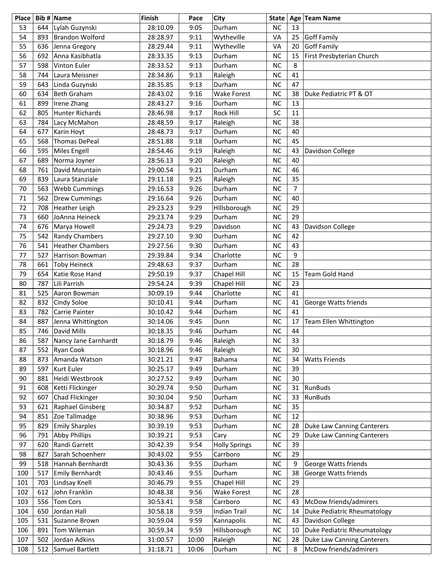| Place    |            | Bib # $\vert$ Name          | Finish               | Pace         | City                     | <b>State</b>           |                | Age Team Name                     |
|----------|------------|-----------------------------|----------------------|--------------|--------------------------|------------------------|----------------|-----------------------------------|
| 53       | 644        | Lylah Guzynski              | 28:10.09             | 9:05         | Durham                   | <b>NC</b>              | 13             |                                   |
| 54       | 893        | <b>Brandon Wolford</b>      | 28:28.97             | 9:11         | Wytheville               | VA                     | 25             | Goff Family                       |
| 55       | 636        | Jenna Gregory               | 28:29.44             | 9:11         | Wytheville               | VA                     | 20             | <b>Goff Family</b>                |
| 56       | 692        | Anna Kasibhatla             | 28:33.35             | 9:13         | Durham                   | <b>NC</b>              | 15             | First Presbyterian Church         |
| 57       | 598        | Vinton Euler                | 28:33.52             | 9:13         | Durham                   | <b>NC</b>              | 8              |                                   |
| 58       | 744        | Laura Meissner              | 28:34.86             | 9:13         | Raleigh                  | <b>NC</b>              | 41             |                                   |
| 59       | 643        | Linda Guzynski              | 28:35.85             | 9:13         | Durham                   | <b>NC</b>              | 47             |                                   |
| 60       | 634        | <b>Beth Graham</b>          | 28:43.02             | 9:16         | <b>Wake Forest</b>       | <b>NC</b>              | 38             | Duke Pediatric PT & OT            |
| 61       | 899        | Irene Zhang                 | 28:43.27             | 9:16         | Durham                   | <b>NC</b>              | 13             |                                   |
| 62       | 805        | Hunter Richards             | 28:46.98             | 9:17         | <b>Rock Hill</b>         | SC                     | 11             |                                   |
| 63       | 784        | Lacy McMahon                | 28:48.59             | 9:17         | Raleigh                  | <b>NC</b>              | 38             |                                   |
| 64       | 677        | Karin Hoyt                  | 28:48.73             | 9:17         | Durham                   | <b>NC</b>              | 40             |                                   |
| 65       | 568        | <b>Thomas DePeal</b>        | 28:51.88             | 9:18         | Durham                   | <b>NC</b>              | 45             |                                   |
| 66       | 595        | Miles Engell                | 28:54.46             | 9:19         | Raleigh                  | <b>NC</b>              | 43             | Davidson College                  |
| 67       | 689        | Norma Joyner                | 28:56.13             | 9:20         | Raleigh                  | <b>NC</b>              | 40             |                                   |
| 68       | 761        | David Mountain              | 29:00.54             | 9:21         | Durham                   | <b>NC</b>              | 46             |                                   |
| 69       | 839        | Laura Stanziale             | 29:11.18             | 9:25         | Raleigh                  | <b>NC</b>              | 35             |                                   |
| 70       | 563        | <b>Webb Cummings</b>        | 29:16.53             | 9:26         | Durham                   | <b>NC</b>              | $\overline{7}$ |                                   |
| 71       | 562        | Drew Cummings               | 29:16.64             | 9:26         | Durham                   | <b>NC</b>              | 40             |                                   |
| 72       | 708        | Heather Leigh               | 29:23.23             | 9:29         | Hillsborough             | <b>NC</b>              | 29             |                                   |
| 73       | 660        | JoAnna Heineck              | 29:23.74             | 9:29         | Durham                   | <b>NC</b>              | 29             |                                   |
| 74       | 676        | Marya Howell                | 29:24.73             | 9:29         | Davidson                 | <b>NC</b>              | 43             | Davidson College                  |
| 75       | 542        | <b>Randy Chambers</b>       | 29:27.10             | 9:30         | Durham                   | <b>NC</b>              | 42             |                                   |
| 76       | 541        | <b>Heather Chambers</b>     | 29:27.56             | 9:30         | Durham                   | <b>NC</b>              | 43             |                                   |
| 77       | 527        | Harrison Bowman             | 29:39.84             | 9:34         | Charlotte                | <b>NC</b>              | 9              |                                   |
| 78       | 661        | <b>Toby Heineck</b>         | 29:48.63             | 9:37         | Durham                   | <b>NC</b>              | 28             |                                   |
| 79       | 654        | Katie Rose Hand             | 29:50.19             | 9:37         | Chapel Hill              | <b>NC</b>              | 15             | Team Gold Hand                    |
| 80       | 787        | Lili Parrish                | 29:54.24             | 9:39         | Chapel Hill<br>Charlotte | <b>NC</b><br><b>NC</b> | 23<br>41       |                                   |
| 81<br>82 | 525<br>832 | Aaron Bowman<br>Cindy Soloe | 30:09.19<br>30:10.41 | 9:44<br>9:44 | Durham                   | <b>NC</b>              | 41             | George Watts friends              |
| 83       | 782        | Carrie Painter              | 30:10.42             | 9:44         | Durham                   | NC                     | 41             |                                   |
| 84       | 887        | Jenna Whittington           | 30:14.06             | 9:45         | Dunn                     | <b>NC</b>              | 17             | Team Ellen Whittington            |
| 85       | 746        | David Mills                 | 30:18.35             | 9:46         | Durham                   | NC                     | 44             |                                   |
| 86       | 587        | Nancy Jane Earnhardt        | 30:18.79             | 9:46         | Raleigh                  | NС                     | 33             |                                   |
| 87       | 552        | Ryan Cook                   | 30:18.96             | 9:46         | Raleigh                  | <b>NC</b>              | 30             |                                   |
| 88       | 873        | Amanda Watson               | 30:21.21             | 9:47         | <b>Bahama</b>            | NC                     | 34             | <b>Watts Friends</b>              |
| 89       | 597        | Kurt Euler                  | 30:25.17             | 9:49         | Durham                   | <b>NC</b>              | 39             |                                   |
| 90       | 881        | Heidi Westbrook             | 30:27.52             | 9:49         | Durham                   | <b>NC</b>              | 30             |                                   |
| 91       | 608        | Ketti Flickinger            | 30:29.74             | 9:50         | Durham                   | <b>NC</b>              | 31             | <b>RunBuds</b>                    |
| 92       | 607        | Chad Flickinger             | 30:30.04             | 9:50         | Durham                   | <b>NC</b>              | 33             | <b>RunBuds</b>                    |
| 93       | 621        | Raphael Ginsberg            | 30:34.87             | 9:52         | Durham                   | <b>NC</b>              | 35             |                                   |
| 94       | 851        | Zoe Tallmadge               | 30:38.96             | 9:53         | Durham                   | <b>NC</b>              | 12             |                                   |
| 95       | 829        | <b>Emily Sharples</b>       | 30:39.19             | 9:53         | Durham                   | <b>NC</b>              | 28             | Duke Law Canning Canterers        |
| 96       | 791        | <b>Abby Phillips</b>        | 30:39.21             | 9:53         | Cary                     | NC                     | 29             | Duke Law Canning Canterers        |
| 97       | 620        | Randi Garrett               | 30:42.39             | 9:54         | <b>Holly Springs</b>     | <b>NC</b>              | 39             |                                   |
| 98       | 827        | Sarah Schoenherr            | 30:43.02             | 9:55         | Carrboro                 | <b>NC</b>              | 29             |                                   |
| 99       | 518        | Hannah Bernhardt            | 30:43.36             | 9:55         | Durham                   | NC                     | 9              | George Watts friends              |
| 100      | 517        | Emily Bernhardt             | 30:43.46             | 9:55         | Durham                   | NC                     | 38             | George Watts friends              |
| 101      | 703        | Lindsay Knell               | 30:46.79             | 9:55         | <b>Chapel Hill</b>       | <b>NC</b>              | 29             |                                   |
| 102      | 612        | John Franklin               | 30:48.38             | 9:56         | Wake Forest              | <b>NC</b>              | 28             |                                   |
| 103      | 556        | <b>Tom Cors</b>             | 30:53.41             | 9:58         | Carrboro                 | <b>NC</b>              | 43             | McDow friends/admirers            |
| 104      | 650        | Jordan Hall                 | 30:58.18             | 9:59         | <b>Indian Trail</b>      | <b>NC</b>              | 14             | Duke Pediatric Rheumatology       |
| 105      | 531        | Suzanne Brown               | 30:59.04             | 9:59         | Kannapolis               | NC                     | 43             | Davidson College                  |
| 106      | 891        | Tom Wileman                 | 30:59.34             | 9:59         | Hillsborough             | <b>NC</b>              | 10             | Duke Pediatric Rheumatology       |
| 107      | 502        | Jordan Adkins               | 31:00.57             | 10:00        | Raleigh                  | <b>NC</b>              | 28             | <b>Duke Law Canning Canterers</b> |
| 108      | 512        | Samuel Bartlett             | 31:18.71             | 10:06        | Durham                   | $NC$                   | 8              | McDow friends/admirers            |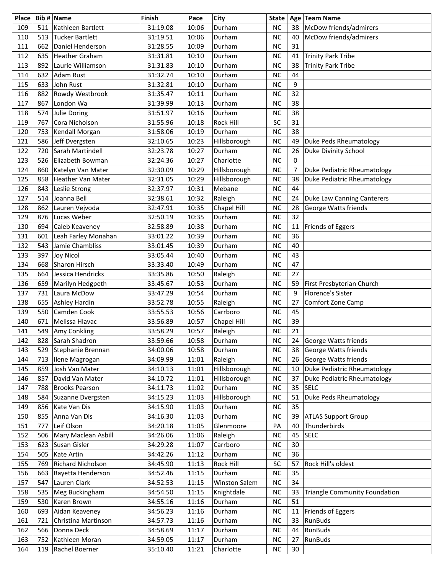| Place      |            | Bib # Name                          | Finish               | Pace           | City                 | <b>State</b>           |          | Age Team Name                        |
|------------|------------|-------------------------------------|----------------------|----------------|----------------------|------------------------|----------|--------------------------------------|
| 109        | 511        | Kathleen Bartlett                   | 31:19.08             | 10:06          | Durham               | <b>NC</b>              | 38       | McDow friends/admirers               |
| 110        | 513        | <b>Tucker Bartlett</b>              | 31:19.51             | 10:06          | Durham               | <b>NC</b>              | 40       | McDow friends/admirers               |
| 111        | 662        | Daniel Henderson                    | 31:28.55             | 10:09          | Durham               | <b>NC</b>              | 31       |                                      |
| 112        | 635        | <b>Heather Graham</b>               | 31:31.81             | 10:10          | Durham               | <b>NC</b>              | 41       | <b>Trinity Park Tribe</b>            |
| 113        | 892        | Laurie Williamson                   | 31:31.83             | 10:10          | Durham               | <b>NC</b>              | 38       | <b>Trinity Park Tribe</b>            |
| 114        | 632        | <b>Adam Rust</b>                    | 31:32.74             | 10:10          | Durham               | <b>NC</b>              | 44       |                                      |
| 115        | 633        | John Rust                           | 31:32.81             | 10:10          | Durham               | <b>NC</b>              | 9        |                                      |
| 116        | 882        | Rowdy Westbrook                     | 31:35.47             | 10:11          | Durham               | <b>NC</b>              | 32       |                                      |
| 117        | 867        | London Wa                           | 31:39.99             | 10:13          | Durham               | <b>NC</b>              | 38       |                                      |
| 118        |            | 574 Julie Doring                    | 31:51.97             | 10:16          | Durham               | <b>NC</b>              | 38       |                                      |
| 119        | 767        | Cora Nicholson                      | 31:55.96             | 10:18          | Rock Hill            | SC                     | 31       |                                      |
| 120        | 753        | Kendall Morgan                      | 31:58.06             | 10:19          | Durham               | <b>NC</b>              | 38       |                                      |
| 121        | 586        | Jeff Dvergsten                      | 32:10.65             | 10:23          | Hillsborough         | <b>NC</b>              | 49       | Duke Peds Rheumatology               |
| 122        | 720        | Sarah Martindell                    | 32:23.78             | 10:27          | Durham               | <b>NC</b>              | 26       | <b>Duke Divinity School</b>          |
| 123        | 526        | Elizabeth Bowman                    | 32:24.36             | 10:27          | Charlotte            | <b>NC</b>              | 0        |                                      |
| 124        | 860        | Katelyn Van Mater                   | 32:30.09             | 10:29          | Hillsborough         | <b>NC</b>              | 7        | Duke Pediatric Rheumatology          |
| 125        | 858        | <b>Heather Van Mater</b>            | 32:31.05             | 10:29          | Hillsborough         | <b>NC</b>              | 38       | Duke Pediatric Rheumatology          |
| 126        | 843        | Leslie Strong                       | 32:37.97             | 10:31          | Mebane               | <b>NC</b>              | 44       |                                      |
| 127        | 514        | Joanna Bell                         | 32:38.61             | 10:32          | Raleigh              | <b>NC</b>              | 24       | Duke Law Canning Canterers           |
| 128        | 862        | Lauren Vejvoda                      | 32:47.91             | 10:35          | Chapel Hill          | <b>NC</b>              | 28       | <b>George Watts friends</b>          |
| 129        | 876        | Lucas Weber                         | 32:50.19             | 10:35          | Durham               | <b>NC</b>              | 32       |                                      |
| 130        | 694        | Caleb Keaveney                      | 32:58.89             | 10:38          | Durham               | <b>NC</b>              | 11       | Friends of Eggers                    |
| 131        | 601        | Leah Farley Monahan                 | 33:01.22             | 10:39          | Durham               | <b>NC</b>              | 36       |                                      |
| 132        | 543        | Jamie Chambliss                     | 33:01.45             | 10:39          | Durham               | <b>NC</b>              | 40       |                                      |
| 133        | 397        | <b>Joy Nicol</b>                    | 33:05.44             | 10:40          | Durham               | <b>NC</b>              | 43       |                                      |
| 134        | 668        | Sharon Hirsch                       | 33:33.40             | 10:49          | Durham               | <b>NC</b>              | 47       |                                      |
| 135        | 664        | Jessica Hendricks                   | 33:35.86             | 10:50          | Raleigh              | <b>NC</b>              | 27       |                                      |
| 136        | 659        | Marilyn Hedgpeth                    | 33:45.67             | 10:53          | Durham               | <b>NC</b>              | 59       | First Presbyterian Church            |
| 137        | 731        | Laura McDow                         | 33:47.29             | 10:54          | Durham               | <b>NC</b>              | 9        | Florence's Sister                    |
| 138        | 655        | Ashley Hardin                       | 33:52.78             | 10:55          | Raleigh              | <b>NC</b>              | 27       | Comfort Zone Camp                    |
| 139        | 550        | Camden Cook                         | 33:55.53             | 10:56          | Carrboro             | <b>NC</b>              | 45       |                                      |
| 140        | 671        | Melissa Hlavac                      | 33:56.89             | 10:57          | Chapel Hill          | <b>NC</b>              | 39       |                                      |
| 141        | 549        | Amy Conkling                        | 33:58.29             | 10:57          | Raleigh              | <b>NC</b>              | 21       |                                      |
| 142        | 828        | Sarah Shadron                       | 33:59.66             | 10:58          | Durham               | NC                     | 24       | George Watts friends                 |
| 143        | 529        | Stephanie Brennan                   | 34:00.06             | 10:58          | Durham               | <b>NC</b>              | 38       | George Watts friends                 |
| 144        | 713        | Ilene Magrogan                      | 34:09.99             | 11:01          | Raleigh              | <b>NC</b>              | 26       | George Watts friends                 |
| 145        | 859        | Josh Van Mater                      | 34:10.13             | 11:01          | Hillsborough         | <b>NC</b>              | 10       | Duke Pediatric Rheumatology          |
| 146        | 857        | David Van Mater                     | 34:10.72             | 11:01          | Hillsborough         | <b>NC</b>              | 37       | Duke Pediatric Rheumatology          |
| 147        | 788        | <b>Brooks Pearson</b>               | 34:11.73             | 11:02          | Durham               | <b>NC</b>              | 35       | <b>SELC</b>                          |
| 148        | 584        | Suzanne Dvergsten<br>Kate Van Dis   | 34:15.23             | 11:03          | Hillsborough         | <b>NC</b><br><b>NC</b> | 51<br>35 | Duke Peds Rheumatology               |
| 149        | 856        | Anna Van Dis                        | 34:15.90             | 11:03          | Durham<br>Durham     | <b>NC</b>              |          |                                      |
| 150        | 855        |                                     | 34:16.30             | 11:03          |                      |                        | 39       | <b>ATLAS Support Group</b>           |
| 151        | 777        | Leif Olson                          | 34:20.18             | 11:05          | Glenmoore            | PA                     | 40       | Thunderbirds                         |
| 152<br>153 | 506<br>623 | Mary Maclean Asbill<br>Susan Gisler | 34:26.06<br>34:29.28 | 11:06          | Raleigh              | <b>NC</b><br><b>NC</b> | 45<br>30 | <b>SELC</b>                          |
|            |            | Kate Artin                          |                      | 11:07          | Carrboro             |                        |          |                                      |
| 154<br>155 | 505        | Richard Nicholson                   | 34:42.26<br>34:45.90 | 11:12          | Durham<br>Rock Hill  | <b>NC</b><br>SC        | 36<br>57 | Rock Hill's oldest                   |
| 156        | 769<br>663 |                                     | 34:52.46             | 11:13          | Durham               | <b>NC</b>              | 35       |                                      |
| 157        | 547        | Rayetta Henderson<br>Lauren Clark   | 34:52.53             | 11:15          | <b>Winston Salem</b> | <b>NC</b>              | 34       |                                      |
|            |            |                                     |                      | 11:15          |                      | <b>NC</b>              | 33       |                                      |
| 158<br>159 | 535        | Meg Buckingham<br>Karen Brown       | 34:54.50<br>34:55.16 | 11:15          | Knightdale<br>Durham | <b>NC</b>              | 51       | <b>Triangle Community Foundation</b> |
| 160        | 530<br>693 | Aidan Keaveney                      | 34:56.23             | 11:16          | Durham               | <b>NC</b>              | 11       |                                      |
| 161        | 721        | Christina Martinson                 | 34:57.73             | 11:16<br>11:16 | Durham               | <b>NC</b>              | 33       | Friends of Eggers<br>RunBuds         |
| 162        | 566        | Donna Deck                          | 34:58.69             | 11:17          | Durham               | <b>NC</b>              | 44       | RunBuds                              |
| 163        | 752        | Kathleen Moran                      | 34:59.05             | 11:17          | Durham               | <b>NC</b>              | 27       | RunBuds                              |
| 164        |            |                                     |                      |                | Charlotte            | <b>NC</b>              | 30       |                                      |
|            | 119        | Rachel Boerner                      | 35:10.40             | 11:21          |                      |                        |          |                                      |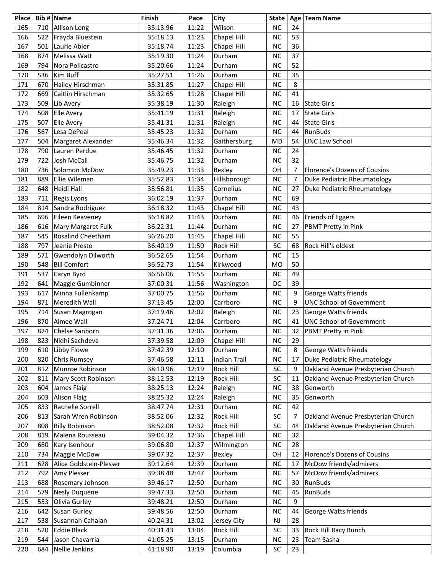| Place |     | Bib # $\vert$ Name       | <b>Finish</b> | Pace  | City                | <b>State</b> |                | Age Team Name                      |
|-------|-----|--------------------------|---------------|-------|---------------------|--------------|----------------|------------------------------------|
| 165   | 710 | Allison Long             | 35:13.96      | 11:22 | Wilson              | <b>NC</b>    | 24             |                                    |
| 166   | 522 | Frayda Bluestein         | 35:18.13      | 11:23 | Chapel Hill         | <b>NC</b>    | 53             |                                    |
| 167   | 501 | Laurie Abler             | 35:18.74      | 11:23 | Chapel Hill         | <b>NC</b>    | 36             |                                    |
| 168   | 874 | Melissa Watt             | 35:19.30      | 11:24 | Durham              | <b>NC</b>    | 37             |                                    |
| 169   | 794 | Nora Policastro          | 35:20.66      | 11:24 | Durham              | <b>NC</b>    | 52             |                                    |
| 170   | 536 | Kim Buff                 | 35:27.51      | 11:26 | Durham              | <b>NC</b>    | 35             |                                    |
| 171   | 670 | Hailey Hirschman         | 35:31.85      | 11:27 | Chapel Hill         | <b>NC</b>    | 8              |                                    |
| 172   | 669 | Caitlin Hirschman        | 35:32.65      | 11:28 | Chapel Hill         | <b>NC</b>    | 41             |                                    |
| 173   | 509 | Lib Avery                | 35:38.19      | 11:30 | Raleigh             | <b>NC</b>    | 16             | State Girls                        |
| 174   | 508 | Elle Avery               | 35:41.19      | 11:31 | Raleigh             | <b>NC</b>    | 17             | State Girls                        |
| 175   | 507 | Elle Avery               | 35:41.31      | 11:31 | Raleigh             | <b>NC</b>    | 44             | State Girls                        |
| 176   | 567 | Lesa DePeal              | 35:45.23      | 11:32 | Durham              | <b>NC</b>    | 44             | <b>RunBuds</b>                     |
| 177   | 504 | Margaret Alexander       | 35:46.34      | 11:32 | Gaithersburg        | <b>MD</b>    | 54             | <b>UNC Law School</b>              |
| 178   | 790 | Lauren Perdue            | 35:46.45      | 11:32 | Durham              | <b>NC</b>    | 24             |                                    |
| 179   | 722 | Josh McCall              | 35:46.75      | 11:32 | Durham              | <b>NC</b>    | 32             |                                    |
| 180   | 736 | Solomon McDow            | 35:49.23      | 11:33 | Bexley              | OH           | $\overline{7}$ | Florence's Dozens of Cousins       |
| 181   | 889 | Ellie Wileman            | 35:52.83      | 11:34 | Hillsborough        | <b>NC</b>    | 7              | Duke Pediatric Rheumatology        |
| 182   | 648 | Heidi Hall               | 35:56.81      | 11:35 | Cornelius           | <b>NC</b>    | 27             | Duke Pediatric Rheumatology        |
| 183   | 711 | Regis Lyons              | 36:02.19      | 11:37 | Durham              | <b>NC</b>    | 69             |                                    |
| 184   | 814 | Sandra Rodriguez         | 36:18.32      | 11:43 | Chapel Hill         | <b>NC</b>    | 43             |                                    |
| 185   | 696 | Eileen Keaveney          | 36:18.82      | 11:43 | Durham              | <b>NC</b>    | 46             | Friends of Eggers                  |
| 186   | 616 | Mary Margaret Fulk       | 36:22.31      | 11:44 | Durham              | <b>NC</b>    | 27             | PBMT Pretty in Pink                |
| 187   | 545 | <b>Rosalind Cheetham</b> | 36:26.20      | 11:45 | Chapel Hill         | <b>NC</b>    | 55             |                                    |
| 188   | 797 | Jeanie Presto            | 36:40.19      | 11:50 | Rock Hill           | SC           | 68             | Rock Hill's oldest                 |
| 189   | 571 | Gwendolyn Dilworth       | 36:52.65      | 11:54 | Durham              | <b>NC</b>    | 15             |                                    |
| 190   | 548 | <b>Bill Comfort</b>      | 36:52.73      | 11:54 | Kirkwood            | <b>MO</b>    | 50             |                                    |
| 191   | 537 | Caryn Byrd               | 36:56.06      | 11:55 | Durham              | <b>NC</b>    | 49             |                                    |
| 192   | 641 | Maggie Gumbinner         | 37:00.31      | 11:56 | Washington          | DC           | 39             |                                    |
| 193   | 617 | Minna Fullenkamp         | 37:00.75      | 11:56 | Durham              | <b>NC</b>    | 9              | George Watts friends               |
| 194   | 871 | Meredith Wall            | 37:13.45      | 12:00 | Carrboro            | <b>NC</b>    | 9              | <b>UNC School of Government</b>    |
| 195   | 714 | Susan Magrogan           | 37:19.46      | 12:02 | Raleigh             | <b>NC</b>    | 23             | George Watts friends               |
| 196   | 870 | Aimee Wall               | 37:24.71      | 12:04 | Carrboro            | <b>NC</b>    | 41             | <b>UNC School of Government</b>    |
| 197   | 824 | Chelse Sanborn           | 37:31.36      | 12:06 | Durham              | <b>NC</b>    | 32             | PBMT Pretty in Pink                |
| 198   | 823 | Nidhi Sachdeva           | 37:39.58      | 12:09 | Chapel Hill         | ΝC           | 29             |                                    |
| 199   | 610 | Libby Flowe              | 37:42.39      | 12:10 | Durham              | <b>NC</b>    | 8              | George Watts friends               |
| 200   | 820 | <b>Chris Rumsey</b>      | 37:46.58      | 12:11 | <b>Indian Trail</b> | <b>NC</b>    | 17             | Duke Pediatric Rheumatology        |
| 201   | 812 | Munroe Robinson          | 38:10.96      | 12:19 | Rock Hill           | SC           | 9              | Oakland Avenue Presbyterian Church |
| 202   | 811 | Mary Scott Robinson      | 38:12.53      | 12:19 | Rock Hill           | SC           | 11             | Oakland Avenue Presbyterian Church |
| 203   | 604 | James Flaig              | 38:25.13      | 12:24 | Raleigh             | <b>NC</b>    | 38             | Genworth                           |
| 204   | 603 | Alison Flaig             | 38:25.32      | 12:24 | Raleigh             | <b>NC</b>    | 35             | Genworth                           |
| 205   | 833 | Rachelle Sorrell         | 38:47.74      | 12:31 | Durham              | NC           | 42             |                                    |
| 206   | 813 | Sarah Wren Robinson      | 38:52.06      | 12:32 | Rock Hill           | SC           | 7              | Oakland Avenue Presbyterian Church |
| 207   | 808 | <b>Billy Robinson</b>    | 38:52.08      | 12:32 | Rock Hill           | SC           | 44             | Oakland Avenue Presbyterian Church |
| 208   | 819 | Malena Rousseau          | 39:04.32      | 12:36 | Chapel Hill         | <b>NC</b>    | 32             |                                    |
| 209   | 680 | Kary Isenhour            | 39:06.80      | 12:37 | Wilmington          | <b>NC</b>    | 28             |                                    |
| 210   | 734 | Maggie McDow             | 39:07.32      | 12:37 | Bexley              | OH           | 12             | Florence's Dozens of Cousins       |
| 211   | 628 | Alice Goldstein-Plesser  | 39:12.64      | 12:39 | Durham              | NC           | 17             | McDow friends/admirers             |
| 212   | 792 | Amy Plesser              | 39:38.48      | 12:47 | Durham              | <b>NC</b>    | 57             | McDow friends/admirers             |
| 213   | 688 | Rosemary Johnson         | 39:46.17      | 12:50 | Durham              | <b>NC</b>    | 30             | <b>RunBuds</b>                     |
| 214   | 579 | Nesly Duquene            | 39:47.33      | 12:50 | Durham              | <b>NC</b>    | 45             | RunBuds                            |
| 215   | 553 | Olivia Gurley            | 39:48.21      | 12:50 | Durham              | <b>NC</b>    | 9              |                                    |
| 216   | 642 | Susan Gurley             | 39:48.56      | 12:50 | Durham              | <b>NC</b>    | 44             | George Watts friends               |
| 217   | 538 | Susannah Cahalan         | 40:24.31      | 13:02 | Jersey City         | NJ           | 28             |                                    |
| 218   | 520 | Eddie Black              | 40:31.43      | 13:04 | Rock Hill           | SC           | 33             | Rock Hill Racy Bunch               |
| 219   | 544 | Jason Chavarria          | 41:05.25      | 13:15 | Durham              | NC           | 23             | Team Sasha                         |
| 220   | 684 | Nellie Jenkins           | 41:18.90      | 13:19 | Columbia            | SC           | 23             |                                    |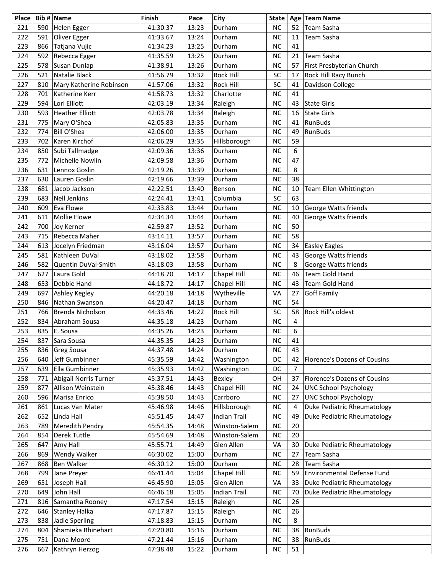| Place |     | Bib # Name              | <b>Finish</b> | Pace  | City                | <b>State</b> |                | Age Team Name                |
|-------|-----|-------------------------|---------------|-------|---------------------|--------------|----------------|------------------------------|
| 221   | 590 | Helen Egger             | 41:30.37      | 13:23 | Durham              | <b>NC</b>    | 52             | Team Sasha                   |
| 222   | 591 | Oliver Egger            | 41:33.67      | 13:24 | Durham              | <b>NC</b>    | 11             | Team Sasha                   |
| 223   | 866 | Tatjana Vujic           | 41:34.23      | 13:25 | Durham              | <b>NC</b>    | 41             |                              |
| 224   | 592 | Rebecca Egger           | 41:35.59      | 13:25 | Durham              | <b>NC</b>    | 21             | Team Sasha                   |
| 225   | 578 | Susan Dunlap            | 41:38.91      | 13:26 | Durham              | <b>NC</b>    | 57             | First Presbyterian Church    |
| 226   | 521 | Natalie Black           | 41:56.79      | 13:32 | Rock Hill           | SC           | 17             | Rock Hill Racy Bunch         |
| 227   | 810 | Mary Katherine Robinson | 41:57.06      | 13:32 | Rock Hill           | SC           | 41             | Davidson College             |
| 228   | 701 | Katherine Kerr          | 41:58.73      | 13:32 | Charlotte           | <b>NC</b>    | 41             |                              |
| 229   | 594 | Lori Elliott            | 42:03.19      | 13:34 | Raleigh             | <b>NC</b>    | 43             | State Girls                  |
| 230   | 593 | Heather Elliott         | 42:03.78      | 13:34 | Raleigh             | <b>NC</b>    | 16             | State Girls                  |
| 231   | 775 | Mary O'Shea             | 42:05.83      | 13:35 | Durham              | <b>NC</b>    | 41             | <b>RunBuds</b>               |
| 232   | 774 | Bill O'Shea             | 42:06.00      | 13:35 | Durham              | <b>NC</b>    | 49             | <b>RunBuds</b>               |
| 233   | 702 | Karen Kirchof           | 42:06.29      | 13:35 | Hillsborough        | <b>NC</b>    | 59             |                              |
| 234   | 850 | Subi Tallmadge          | 42:09.36      | 13:36 | Durham              | <b>NC</b>    | 6              |                              |
| 235   | 772 | Michelle Nowlin         | 42:09.58      | 13:36 | Durham              | <b>NC</b>    | 47             |                              |
| 236   | 631 | Lennox Goslin           | 42:19.26      | 13:39 | Durham              | <b>NC</b>    | 8              |                              |
| 237   | 630 | Lauren Goslin           | 42:19.66      | 13:39 | Durham              | <b>NC</b>    | 38             |                              |
| 238   | 681 | Jacob Jackson           | 42:22.51      | 13:40 | Benson              | <b>NC</b>    | 10             | Team Ellen Whittington       |
| 239   | 683 | Nell Jenkins            | 42:24.41      | 13:41 | Columbia            | SC           | 63             |                              |
| 240   | 609 | Eva Flowe               | 42:33.83      | 13:44 | Durham              | <b>NC</b>    | 10             | George Watts friends         |
| 241   | 611 | Mollie Flowe            | 42:34.34      | 13:44 | Durham              | <b>NC</b>    | 40             | George Watts friends         |
| 242   | 700 | Joy Kerner              | 42:59.87      | 13:52 | Durham              | <b>NC</b>    | 50             |                              |
| 243   | 715 | Rebecca Maher           | 43:14.11      | 13:57 | Durham              | <b>NC</b>    | 58             |                              |
| 244   | 613 | Jocelyn Friedman        | 43:16.04      | 13:57 | Durham              | <b>NC</b>    | 34             | <b>Easley Eagles</b>         |
| 245   | 581 | Kathleen DuVal          | 43:18.02      | 13:58 | Durham              | <b>NC</b>    | 43             | George Watts friends         |
| 246   | 582 | Quentin DuVal-Smith     | 43:18.03      | 13:58 | Durham              | <b>NC</b>    | 8              | George Watts friends         |
| 247   | 627 | Laura Gold              | 44:18.70      | 14:17 | Chapel Hill         | <b>NC</b>    | 46             | <b>Team Gold Hand</b>        |
| 248   | 653 | Debbie Hand             | 44:18.72      | 14:17 | Chapel Hill         | <b>NC</b>    | 43             | Team Gold Hand               |
| 249   | 697 | Ashley Kegley           | 44:20.18      | 14:18 | Wytheville          | VA           | 27             | <b>Goff Family</b>           |
| 250   | 846 | Nathan Swanson          | 44:20.47      | 14:18 | Durham              | <b>NC</b>    | 54             |                              |
| 251   | 766 | Brenda Nicholson        | 44:33.46      | 14:22 | Rock Hill           | SC           | 58             | Rock Hill's oldest           |
| 252   | 834 | Abraham Sousa           | 44:35.18      | 14:23 | Durham              | <b>NC</b>    | 4              |                              |
| 253   | 835 | E. Sousa                | 44:35.26      | 14:23 | Durham              | <b>NC</b>    | 6              |                              |
| 254   | 837 | Sara Sousa              | 44:35.35      | 14:23 | Durham              | ΝC           | 41             |                              |
| 255   | 836 | <b>Greg Sousa</b>       | 44:37.48      | 14:24 | Durham              | <b>NC</b>    | 43             |                              |
| 256   | 640 | Jeff Gumbinner          | 45:35.59      | 14:42 | Washington          | DC           | 42             | Florence's Dozens of Cousins |
| 257   | 639 | Ella Gumbinner          | 45:35.93      | 14:42 | Washington          | DC           | $\overline{7}$ |                              |
| 258   | 771 | Abigail Norris Turner   | 45:37.51      | 14:43 | Bexley              | OH           | 37             | Florence's Dozens of Cousins |
| 259   | 877 | Allison Weinstein       | 45:38.46      | 14:43 | Chapel Hill         | <b>NC</b>    | 24             | <b>UNC School Psychology</b> |
| 260   | 596 | Marisa Enrico           | 45:38.50      | 14:43 | Carrboro            | <b>NC</b>    | 27             | <b>UNC School Psychology</b> |
| 261   | 861 | Lucas Van Mater         | 45:46.98      | 14:46 | Hillsborough        | NC           | $\overline{4}$ | Duke Pediatric Rheumatology  |
| 262   | 652 | Linda Hall              | 45:51.45      | 14:47 | <b>Indian Trail</b> | <b>NC</b>    | 49             | Duke Pediatric Rheumatology  |
| 263   | 789 | Meredith Pendry         | 45:54.35      | 14:48 | Winston-Salem       | <b>NC</b>    | 20             |                              |
| 264   | 854 | <b>Derek Tuttle</b>     | 45:54.69      | 14:48 | Winston-Salem       | NC           | 20             |                              |
| 265   | 647 | Amy Hall                | 45:55.71      | 14:49 | Glen Allen          | VA           | 30             | Duke Pediatric Rheumatology  |
| 266   | 869 | Wendy Walker            | 46:30.02      | 15:00 | Durham              | <b>NC</b>    | 27             | Team Sasha                   |
| 267   | 868 | <b>Ben Walker</b>       | 46:30.12      | 15:00 | Durham              | <b>NC</b>    | 28             | Team Sasha                   |
| 268   | 799 | Jane Preyer             | 46:41.44      | 15:04 | Chapel Hill         | <b>NC</b>    | 59             | Environmental Defense Fund   |
| 269   | 651 | Joseph Hall             | 46:45.90      | 15:05 | Glen Allen          | VA           | 33             | Duke Pediatric Rheumatology  |
| 270   | 649 | John Hall               | 46:46.18      | 15:05 | <b>Indian Trail</b> | <b>NC</b>    | 70             | Duke Pediatric Rheumatology  |
| 271   | 816 | Samantha Rooney         | 47:17.54      | 15:15 | Raleigh             | <b>NC</b>    | 26             |                              |
| 272   | 646 | Stanley Halka           | 47:17.87      | 15:15 | Raleigh             | <b>NC</b>    | 26             |                              |
| 273   | 838 | Jadie Sperling          | 47:18.83      | 15:15 | Durham              | <b>NC</b>    | 8              |                              |
| 274   | 804 | Shamieka Rhinehart      | 47:20.80      | 15:16 | Durham              | <b>NC</b>    | 38             | <b>RunBuds</b>               |
| 275   | 751 | Dana Moore              | 47:21.44      | 15:16 | Durham              | <b>NC</b>    | 38             | RunBuds                      |
| 276   | 667 | Kathryn Herzog          | 47:38.48      | 15:22 | Durham              | NC           | 51             |                              |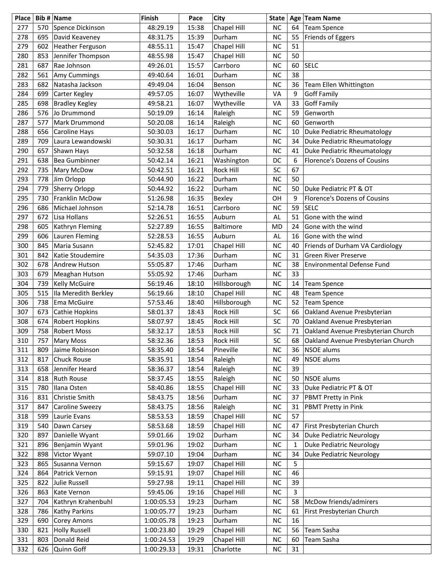| Place |     | Bib # Name            | <b>Finish</b> | Pace  | City             | <b>State</b> |              | Age Team Name                       |
|-------|-----|-----------------------|---------------|-------|------------------|--------------|--------------|-------------------------------------|
| 277   | 570 | Spence Dickinson      | 48:29.19      | 15:38 | Chapel Hill      | <b>NC</b>    | 64           | <b>Team Spence</b>                  |
| 278   | 695 | David Keaveney        | 48:31.75      | 15:39 | Durham           | <b>NC</b>    | 55           | Friends of Eggers                   |
| 279   | 602 | Heather Ferguson      | 48:55.11      | 15:47 | Chapel Hill      | <b>NC</b>    | 51           |                                     |
| 280   | 853 | Jennifer Thompson     | 48:55.98      | 15:47 | Chapel Hill      | <b>NC</b>    | 50           |                                     |
| 281   | 687 | Rae Johnson           | 49:26.01      | 15:57 | Carrboro         | <b>NC</b>    | 60           | <b>SELC</b>                         |
| 282   | 561 | Amy Cummings          | 49:40.64      | 16:01 | Durham           | <b>NC</b>    | 38           |                                     |
| 283   | 682 | Natasha Jackson       | 49:49.04      | 16:04 | Benson           | <b>NC</b>    | 36           | Team Ellen Whittington              |
| 284   | 699 | Carter Kegley         | 49:57.05      | 16:07 | Wytheville       | VA           | 9            | <b>Goff Family</b>                  |
| 285   | 698 | <b>Bradley Kegley</b> | 49:58.21      | 16:07 | Wytheville       | VA           | 33           | <b>Goff Family</b>                  |
| 286   | 576 | Jo Drummond           | 50:19.09      | 16:14 | Raleigh          | <b>NC</b>    | 59           | Genworth                            |
| 287   | 577 | Mark Drummond         | 50:20.08      | 16:14 | Raleigh          | <b>NC</b>    | 60           | Genworth                            |
| 288   | 656 | Caroline Hays         | 50:30.03      | 16:17 | Durham           | <b>NC</b>    | 10           | Duke Pediatric Rheumatology         |
| 289   | 709 | Laura Lewandowski     | 50:30.31      | 16:17 | Durham           | <b>NC</b>    | 34           | Duke Pediatric Rheumatology         |
| 290   | 657 | Shawn Hays            | 50:32.58      | 16:18 | Durham           | <b>NC</b>    | 41           | Duke Pediatric Rheumatology         |
| 291   | 638 | <b>Bea Gumbinner</b>  | 50:42.14      | 16:21 | Washington       | DC           | 6            | Florence's Dozens of Cousins        |
| 292   | 735 | Mary McDow            | 50:42.51      | 16:21 | <b>Rock Hill</b> | SC           | 67           |                                     |
| 293   | 778 | Jim Orlopp            | 50:44.90      | 16:22 | Durham           | <b>NC</b>    | 50           |                                     |
| 294   | 779 | <b>Sherry Orlopp</b>  | 50:44.92      | 16:22 | Durham           | <b>NC</b>    | 50           | Duke Pediatric PT & OT              |
| 295   | 730 | Franklin McDow        | 51:26.98      | 16:35 | Bexley           | OH           | 9            | <b>Florence's Dozens of Cousins</b> |
| 296   | 686 | Michael Johnson       | 52:14.78      | 16:51 | Carrboro         | <b>NC</b>    | 59           | <b>SELC</b>                         |
| 297   | 672 | Lisa Hollans          | 52:26.51      | 16:55 | Auburn           | <b>AL</b>    | 51           | Gone with the wind                  |
| 298   | 605 | Kathryn Fleming       | 52:27.89      | 16:55 | Baltimore        | <b>MD</b>    | 24           | Gone with the wind                  |
| 299   | 606 | Lauren Fleming        | 52:28.53      | 16:55 | Auburn           | AL           | 16           | Gone with the wind                  |
| 300   | 845 | Maria Susann          | 52:45.82      | 17:01 | Chapel Hill      | <b>NC</b>    | 40           | Friends of Durham VA Cardiology     |
| 301   | 842 | Katie Stoudemire      | 54:35.03      | 17:36 | Durham           | <b>NC</b>    | 31           | <b>Green River Preserve</b>         |
| 302   | 678 | <b>Andrew Hutson</b>  | 55:05.87      | 17:46 | Durham           | <b>NC</b>    | 38           | <b>Environmental Defense Fund</b>   |
| 303   | 679 | Meaghan Hutson        | 55:05.92      | 17:46 | Durham           | <b>NC</b>    | 33           |                                     |
| 304   | 739 | Kelly McGuire         | 56:19.46      | 18:10 | Hillsborough     | <b>NC</b>    | 14           | <b>Team Spence</b>                  |
| 305   | 515 | Ila Meredith Berkley  | 56:19.66      | 18:10 | Chapel Hill      | <b>NC</b>    | 48           | <b>Team Spence</b>                  |
| 306   | 738 | Ema McGuire           | 57:53.46      | 18:40 | Hillsborough     | <b>NC</b>    | 52           | <b>Team Spence</b>                  |
| 307   | 673 | Cathie Hopkins        | 58:01.37      | 18:43 | Rock Hill        | SC           | 66           | Oakland Avenue Presbyterian         |
| 308   | 674 | <b>Robert Hopkins</b> | 58:07.97      | 18:45 | Rock Hill        | SC           | 70           | Oakland Avenue Presbyterian         |
| 309   | 758 | <b>Robert Moss</b>    | 58:32.17      | 18:53 | Rock Hill        | SC           | 71           | Oakland Avenue Presbyterian Church  |
| 310   |     | 757   Mary Moss       | 58:32.36      | 18:53 | Rock Hill        | SC           | 68           | Oakland Avenue Presbyterian Church  |
| 311   | 809 | Jaime Robinson        | 58:35.40      | 18:54 | Pineville        | <b>NC</b>    | 36           | <b>NSOE</b> alums                   |
| 312   | 817 | Chuck Rouse           | 58:35.91      | 18:54 | Raleigh          | NC           | 49           | <b>NSOE</b> alums                   |
| 313   | 658 | Jennifer Heard        | 58:36.37      | 18:54 | Raleigh          | <b>NC</b>    | 39           |                                     |
| 314   | 818 | <b>Ruth Rouse</b>     | 58:37.45      | 18:55 | Raleigh          | <b>NC</b>    | 50           | NSOE alums                          |
| 315   | 780 | Ilana Osten           | 58:40.86      | 18:55 | Chapel Hill      | <b>NC</b>    | 33           | Duke Pediatric PT & OT              |
| 316   | 831 | Christie Smith        | 58:43.75      | 18:56 | Durham           | <b>NC</b>    | 37           | PBMT Pretty in Pink                 |
| 317   | 847 | Caroline Sweezy       | 58:43.75      | 18:56 | Raleigh          | <b>NC</b>    | 31           | PBMT Pretty in Pink                 |
| 318   | 599 | Laurie Evans          | 58:53.53      | 18:59 | Chapel Hill      | <b>NC</b>    | 57           |                                     |
| 319   | 540 | Dawn Carsey           | 58:53.68      | 18:59 | Chapel Hill      | <b>NC</b>    | 47           | First Presbyterian Church           |
| 320   | 897 | Danielle Wyant        | 59:01.66      | 19:02 | Durham           | <b>NC</b>    | 34           | <b>Duke Pediatric Neurology</b>     |
| 321   | 896 | Benjamin Wyant        | 59:01.96      | 19:02 | Durham           | NC           | $\mathbf{1}$ | <b>Duke Pediatric Neurology</b>     |
| 322   | 898 | Victor Wyant          | 59:07.10      | 19:04 | Durham           | <b>NC</b>    | 34           | <b>Duke Pediatric Neurology</b>     |
| 323   | 865 | Susanna Vernon        | 59:15.67      | 19:07 | Chapel Hill      | NC           | 5            |                                     |
| 324   | 864 | Patrick Vernon        | 59:15.91      | 19:07 | Chapel Hill      | <b>NC</b>    | 46           |                                     |
| 325   | 822 | <b>Julie Russell</b>  | 59:27.98      | 19:11 | Chapel Hill      | <b>NC</b>    | 39           |                                     |
| 326   | 863 | Kate Vernon           | 59:45.06      | 19:16 | Chapel Hill      | <b>NC</b>    | 3            |                                     |
| 327   | 704 | Kathryn Krahenbuhl    | 1:00:05.53    | 19:23 | Durham           | <b>NC</b>    | 58           | McDow friends/admirers              |
| 328   | 786 | Kathy Parkins         | 1:00:05.77    | 19:23 | Durham           | <b>NC</b>    | 61           | First Presbyterian Church           |
| 329   | 690 | Corey Amons           | 1:00:05.78    | 19:23 | Durham           | NC           | 16           |                                     |
| 330   | 821 | <b>Holly Russell</b>  | 1:00:23.80    | 19:29 | Chapel Hill      | <b>NC</b>    | 56           | Team Sasha                          |
| 331   | 803 | Donald Reid           | 1:00:24.53    | 19:29 | Chapel Hill      | <b>NC</b>    | 60           | Team Sasha                          |
| 332   | 626 | Quinn Goff            | 1:00:29.33    | 19:31 | Charlotte        | <b>NC</b>    | 31           |                                     |